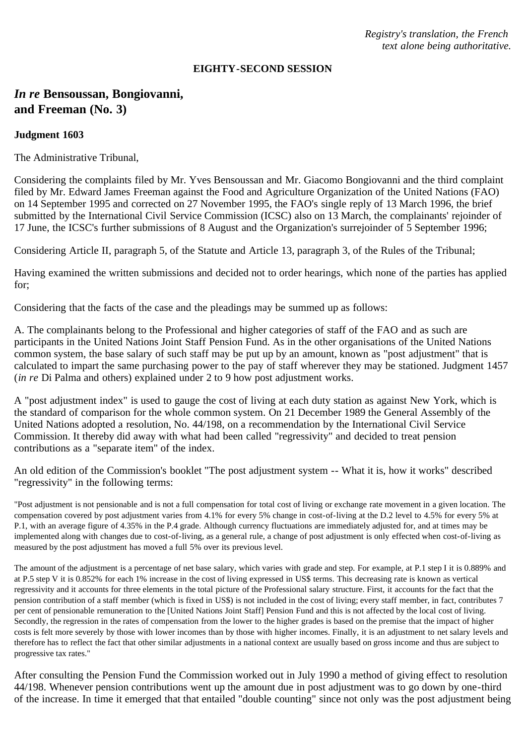*Registry's translation, the French text alone being authoritative.*

#### **EIGHTY-SECOND SESSION**

# *In re* **Bensoussan, Bongiovanni, and Freeman (No. 3)**

### **Judgment 1603**

The Administrative Tribunal,

Considering the complaints filed by Mr. Yves Bensoussan and Mr. Giacomo Bongiovanni and the third complaint filed by Mr. Edward James Freeman against the Food and Agriculture Organization of the United Nations (FAO) on 14 September 1995 and corrected on 27 November 1995, the FAO's single reply of 13 March 1996, the brief submitted by the International Civil Service Commission (ICSC) also on 13 March, the complainants' rejoinder of 17 June, the ICSC's further submissions of 8 August and the Organization's surrejoinder of 5 September 1996;

Considering Article II, paragraph 5, of the Statute and Article 13, paragraph 3, of the Rules of the Tribunal;

Having examined the written submissions and decided not to order hearings, which none of the parties has applied for;

Considering that the facts of the case and the pleadings may be summed up as follows:

A. The complainants belong to the Professional and higher categories of staff of the FAO and as such are participants in the United Nations Joint Staff Pension Fund. As in the other organisations of the United Nations common system, the base salary of such staff may be put up by an amount, known as "post adjustment" that is calculated to impart the same purchasing power to the pay of staff wherever they may be stationed. Judgment 1457 (*in re* Di Palma and others) explained under 2 to 9 how post adjustment works.

A "post adjustment index" is used to gauge the cost of living at each duty station as against New York, which is the standard of comparison for the whole common system. On 21 December 1989 the General Assembly of the United Nations adopted a resolution, No. 44/198, on a recommendation by the International Civil Service Commission. It thereby did away with what had been called "regressivity" and decided to treat pension contributions as a "separate item" of the index.

An old edition of the Commission's booklet "The post adjustment system -- What it is, how it works" described "regressivity" in the following terms:

"Post adjustment is not pensionable and is not a full compensation for total cost of living or exchange rate movement in a given location. The compensation covered by post adjustment varies from 4.1% for every 5% change in cost-of-living at the D.2 level to 4.5% for every 5% at P.1, with an average figure of 4.35% in the P.4 grade. Although currency fluctuations are immediately adjusted for, and at times may be implemented along with changes due to cost-of-living, as a general rule, a change of post adjustment is only effected when cost-of-living as measured by the post adjustment has moved a full 5% over its previous level.

The amount of the adjustment is a percentage of net base salary, which varies with grade and step. For example, at P.1 step I it is 0.889% and at P.5 step V it is 0.852% for each 1% increase in the cost of living expressed in US\$ terms. This decreasing rate is known as vertical regressivity and it accounts for three elements in the total picture of the Professional salary structure. First, it accounts for the fact that the pension contribution of a staff member (which is fixed in US\$) is not included in the cost of living; every staff member, in fact, contributes 7 per cent of pensionable remuneration to the [United Nations Joint Staff] Pension Fund and this is not affected by the local cost of living. Secondly, the regression in the rates of compensation from the lower to the higher grades is based on the premise that the impact of higher costs is felt more severely by those with lower incomes than by those with higher incomes. Finally, it is an adjustment to net salary levels and therefore has to reflect the fact that other similar adjustments in a national context are usually based on gross income and thus are subject to progressive tax rates."

After consulting the Pension Fund the Commission worked out in July 1990 a method of giving effect to resolution 44/198. Whenever pension contributions went up the amount due in post adjustment was to go down by one-third of the increase. In time it emerged that that entailed "double counting" since not only was the post adjustment being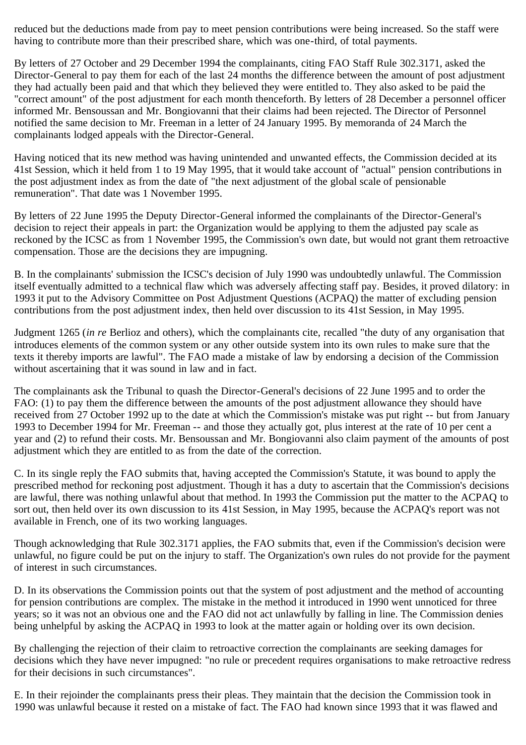reduced but the deductions made from pay to meet pension contributions were being increased. So the staff were having to contribute more than their prescribed share, which was one-third, of total payments.

By letters of 27 October and 29 December 1994 the complainants, citing FAO Staff Rule 302.3171, asked the Director-General to pay them for each of the last 24 months the difference between the amount of post adjustment they had actually been paid and that which they believed they were entitled to. They also asked to be paid the "correct amount" of the post adjustment for each month thenceforth. By letters of 28 December a personnel officer informed Mr. Bensoussan and Mr. Bongiovanni that their claims had been rejected. The Director of Personnel notified the same decision to Mr. Freeman in a letter of 24 January 1995. By memoranda of 24 March the complainants lodged appeals with the Director-General.

Having noticed that its new method was having unintended and unwanted effects, the Commission decided at its 41st Session, which it held from 1 to 19 May 1995, that it would take account of "actual" pension contributions in the post adjustment index as from the date of "the next adjustment of the global scale of pensionable remuneration". That date was 1 November 1995.

By letters of 22 June 1995 the Deputy Director-General informed the complainants of the Director-General's decision to reject their appeals in part: the Organization would be applying to them the adjusted pay scale as reckoned by the ICSC as from 1 November 1995, the Commission's own date, but would not grant them retroactive compensation. Those are the decisions they are impugning.

B. In the complainants' submission the ICSC's decision of July 1990 was undoubtedly unlawful. The Commission itself eventually admitted to a technical flaw which was adversely affecting staff pay. Besides, it proved dilatory: in 1993 it put to the Advisory Committee on Post Adjustment Questions (ACPAQ) the matter of excluding pension contributions from the post adjustment index, then held over discussion to its 41st Session, in May 1995.

Judgment 1265 (*in re* Berlioz and others), which the complainants cite, recalled "the duty of any organisation that introduces elements of the common system or any other outside system into its own rules to make sure that the texts it thereby imports are lawful". The FAO made a mistake of law by endorsing a decision of the Commission without ascertaining that it was sound in law and in fact.

The complainants ask the Tribunal to quash the Director-General's decisions of 22 June 1995 and to order the FAO: (1) to pay them the difference between the amounts of the post adjustment allowance they should have received from 27 October 1992 up to the date at which the Commission's mistake was put right -- but from January 1993 to December 1994 for Mr. Freeman -- and those they actually got, plus interest at the rate of 10 per cent a year and (2) to refund their costs. Mr. Bensoussan and Mr. Bongiovanni also claim payment of the amounts of post adjustment which they are entitled to as from the date of the correction.

C. In its single reply the FAO submits that, having accepted the Commission's Statute, it was bound to apply the prescribed method for reckoning post adjustment. Though it has a duty to ascertain that the Commission's decisions are lawful, there was nothing unlawful about that method. In 1993 the Commission put the matter to the ACPAQ to sort out, then held over its own discussion to its 41st Session, in May 1995, because the ACPAQ's report was not available in French, one of its two working languages.

Though acknowledging that Rule 302.3171 applies, the FAO submits that, even if the Commission's decision were unlawful, no figure could be put on the injury to staff. The Organization's own rules do not provide for the payment of interest in such circumstances.

D. In its observations the Commission points out that the system of post adjustment and the method of accounting for pension contributions are complex. The mistake in the method it introduced in 1990 went unnoticed for three years; so it was not an obvious one and the FAO did not act unlawfully by falling in line. The Commission denies being unhelpful by asking the ACPAQ in 1993 to look at the matter again or holding over its own decision.

By challenging the rejection of their claim to retroactive correction the complainants are seeking damages for decisions which they have never impugned: "no rule or precedent requires organisations to make retroactive redress for their decisions in such circumstances".

E. In their rejoinder the complainants press their pleas. They maintain that the decision the Commission took in 1990 was unlawful because it rested on a mistake of fact. The FAO had known since 1993 that it was flawed and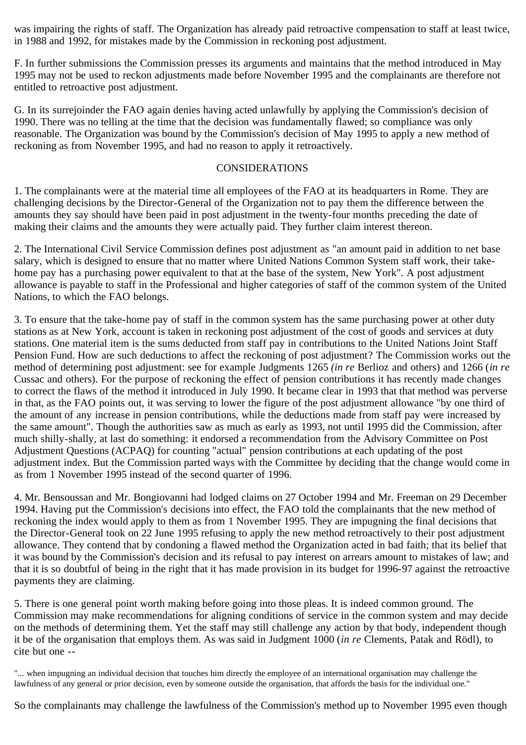was impairing the rights of staff. The Organization has already paid retroactive compensation to staff at least twice, in 1988 and 1992, for mistakes made by the Commission in reckoning post adjustment.

F. In further submissions the Commission presses its arguments and maintains that the method introduced in May 1995 may not be used to reckon adjustments made before November 1995 and the complainants are therefore not entitled to retroactive post adjustment.

G. In its surrejoinder the FAO again denies having acted unlawfully by applying the Commission's decision of 1990. There was no telling at the time that the decision was fundamentally flawed; so compliance was only reasonable. The Organization was bound by the Commission's decision of May 1995 to apply a new method of reckoning as from November 1995, and had no reason to apply it retroactively.

### CONSIDERATIONS

1. The complainants were at the material time all employees of the FAO at its headquarters in Rome. They are challenging decisions by the Director-General of the Organization not to pay them the difference between the amounts they say should have been paid in post adjustment in the twenty-four months preceding the date of making their claims and the amounts they were actually paid. They further claim interest thereon.

2. The International Civil Service Commission defines post adjustment as "an amount paid in addition to net base salary, which is designed to ensure that no matter where United Nations Common System staff work, their takehome pay has a purchasing power equivalent to that at the base of the system, New York". A post adjustment allowance is payable to staff in the Professional and higher categories of staff of the common system of the United Nations, to which the FAO belongs.

3. To ensure that the take-home pay of staff in the common system has the same purchasing power at other duty stations as at New York, account is taken in reckoning post adjustment of the cost of goods and services at duty stations. One material item is the sums deducted from staff pay in contributions to the United Nations Joint Staff Pension Fund. How are such deductions to affect the reckoning of post adjustment? The Commission works out the method of determining post adjustment: see for example Judgments 1265 *(in re* Berlioz and others) and 1266 (*in re* Cussac and others). For the purpose of reckoning the effect of pension contributions it has recently made changes to correct the flaws of the method it introduced in July 1990. It became clear in 1993 that that method was perverse in that, as the FAO points out, it was serving to lower the figure of the post adjustment allowance "by one third of the amount of any increase in pension contributions, while the deductions made from staff pay were increased by the same amount". Though the authorities saw as much as early as 1993, not until 1995 did the Commission, after much shilly-shally, at last do something: it endorsed a recommendation from the Advisory Committee on Post Adjustment Questions (ACPAQ) for counting "actual" pension contributions at each updating of the post adjustment index. But the Commission parted ways with the Committee by deciding that the change would come in as from 1 November 1995 instead of the second quarter of 1996.

4. Mr. Bensoussan and Mr. Bongiovanni had lodged claims on 27 October 1994 and Mr. Freeman on 29 December 1994. Having put the Commission's decisions into effect, the FAO told the complainants that the new method of reckoning the index would apply to them as from 1 November 1995. They are impugning the final decisions that the Director-General took on 22 June 1995 refusing to apply the new method retroactively to their post adjustment allowance. They contend that by condoning a flawed method the Organization acted in bad faith; that its belief that it was bound by the Commission's decision and its refusal to pay interest on arrears amount to mistakes of law; and that it is so doubtful of being in the right that it has made provision in its budget for 1996-97 against the retroactive payments they are claiming.

5. There is one general point worth making before going into those pleas. It is indeed common ground. The Commission may make recommendations for aligning conditions of service in the common system and may decide on the methods of determining them. Yet the staff may still challenge any action by that body, independent though it be of the organisation that employs them. As was said in Judgment 1000 (*in re* Clements, Patak and Rödl), to cite but one --

"... when impugning an individual decision that touches him directly the employee of an international organisation may challenge the lawfulness of any general or prior decision, even by someone outside the organisation, that affords the basis for the individual one."

So the complainants may challenge the lawfulness of the Commission's method up to November 1995 even though